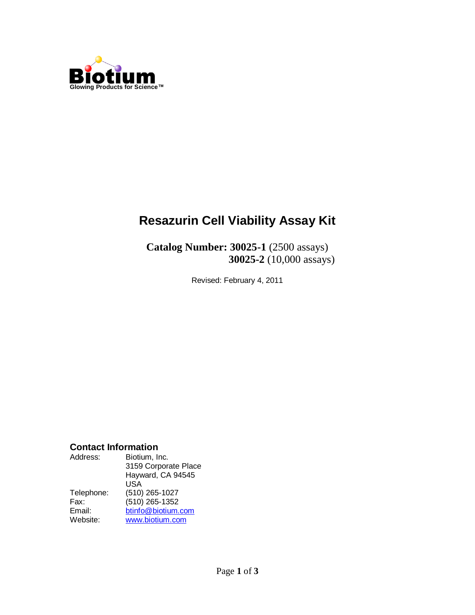

# **Resazurin Cell Viability Assay Kit**

**Catalog Number: 30025-1** (2500 assays) **30025-2** (10,000 assays)

Revised: February 4, 2011

#### **Contact Information**

| Address:   | Biotium, Inc.<br>3159 Corporate Place<br>Hayward, CA 94545 |
|------------|------------------------------------------------------------|
|            | USA                                                        |
| Telephone: | (510) 265-1027                                             |
| Fax:       | (510) 265-1352                                             |
| Email:     | btinfo@biotium.com                                         |
| Website:   | www.biotium.com                                            |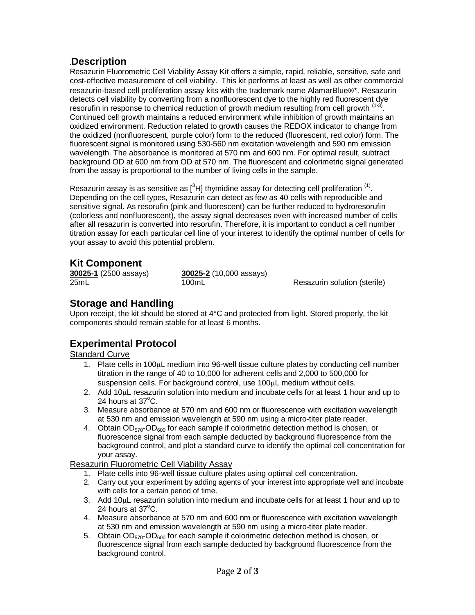#### .**Description**

Resazurin Fluorometric Cell Viability Assay Kit offers a simple, rapid, reliable, sensitive, safe and cost-effective measurement of cell viability. This kit performs at least as well as other commercial resazurin-based cell proliferation assay kits with the trademark name AlamarBlue®\*. Resazurin detects cell viability by converting from a nonfluorescent dye to the highly red fluorescent dye resorufin in response to chemical reduction of growth medium resulting from cell growth  $(1-3)$ . Continued cell growth maintains a reduced environment while inhibition of growth maintains an oxidized environment. Reduction related to growth causes the REDOX indicator to change from the oxidized (nonfluorescent, purple color) form to the reduced (fluorescent, red color) form. The fluorescent signal is monitored using 530-560 nm excitation wavelength and 590 nm emission wavelength. The absorbance is monitored at 570 nm and 600 nm. For optimal result, subtract background OD at 600 nm from OD at 570 nm. The fluorescent and colorimetric signal generated from the assay is proportional to the number of living cells in the sample.

Resazurin assay is as sensitive as  $[{}^{3}H]$  thymidine assay for detecting cell proliferation  $^{(1)}$ . Depending on the cell types, Resazurin can detect as few as 40 cells with reproducible and sensitive signal. As resorufin (pink and fluorescent) can be further reduced to hydroresorufin (colorless and nonfluorescent), the assay signal decreases even with increased number of cells after all resazurin is converted into resorufin. Therefore, it is important to conduct a cell number titration assay for each particular cell line of your interest to identify the optimal number of cells for your assay to avoid this potential problem.

### **Kit Component**

**30025-1** (2500 assays) **30025-2** (10,000 assays)

25mL 100mL 100mL Resazurin solution (sterile)

#### **Storage and Handling**

Upon receipt, the kit should be stored at 4°C and protected from light. Stored properly, the kit components should remain stable for at least 6 months.

## **Experimental Protocol**

#### Standard Curve

- 1. Plate cells in 100 $\mu$ L medium into 96-well tissue culture plates by conducting cell number titration in the range of 40 to 10,000 for adherent cells and 2,000 to 500,000 for suspension cells. For background control, use  $100\mu L$  medium without cells.
- 2. Add  $10\mu$ L resazurin solution into medium and incubate cells for at least 1 hour and up to 24 hours at  $37^{\circ}$ C.
- 3. Measure absorbance at 570 nm and 600 nm or fluorescence with excitation wavelength at 530 nm and emission wavelength at 590 nm using a micro-titer plate reader.
- 4. Obtain  $OD_{570}$ -OD<sub>600</sub> for each sample if colorimetric detection method is chosen, or fluorescence signal from each sample deducted by background fluorescence from the background control, and plot a standard curve to identify the optimal cell concentration for your assay.

Resazurin Fluorometric Cell Viability Assay

- 1. Plate cells into 96-well tissue culture plates using optimal cell concentration.
- 2. Carry out your experiment by adding agents of your interest into appropriate well and incubate with cells for a certain period of time.
- 3. Add  $10\mu$ L resazurin solution into medium and incubate cells for at least 1 hour and up to 24 hours at  $37^{\circ}$ C.
- 4. Measure absorbance at 570 nm and 600 nm or fluorescence with excitation wavelength at 530 nm and emission wavelength at 590 nm using a micro-titer plate reader.
- 5. Obtain  $OD_{570}$ -OD<sub>600</sub> for each sample if colorimetric detection method is chosen, or fluorescence signal from each sample deducted by background fluorescence from the background control.